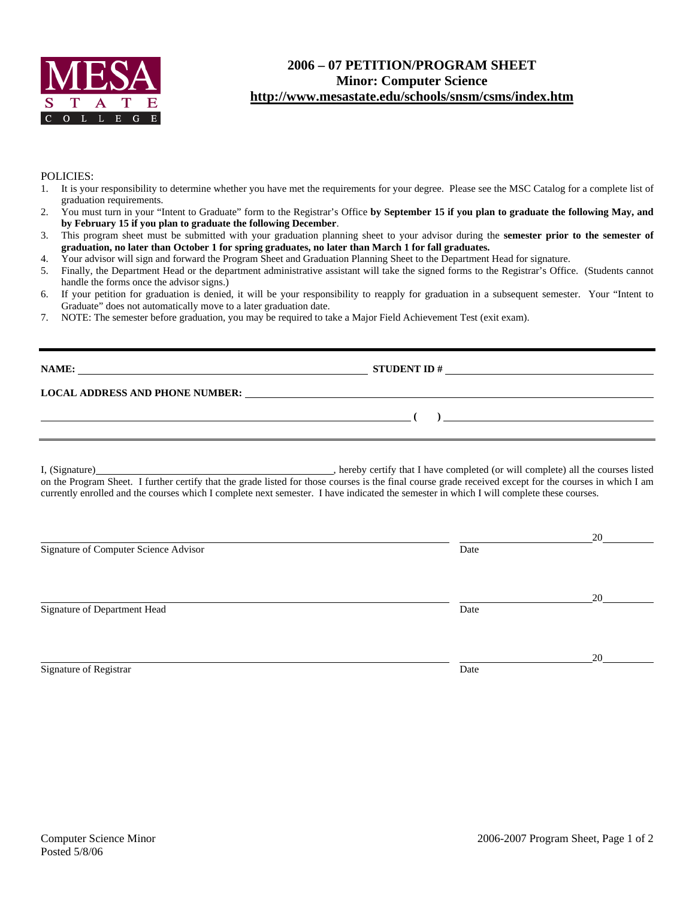

## **2006 – 07 PETITION/PROGRAM SHEET Minor: Computer Science http://www.mesastate.edu/schools/snsm/csms/index.htm**

## POLICIES:

- 1. It is your responsibility to determine whether you have met the requirements for your degree. Please see the MSC Catalog for a complete list of graduation requirements.
- 2. You must turn in your "Intent to Graduate" form to the Registrar's Office **by September 15 if you plan to graduate the following May, and by February 15 if you plan to graduate the following December**.
- 3. This program sheet must be submitted with your graduation planning sheet to your advisor during the **semester prior to the semester of graduation, no later than October 1 for spring graduates, no later than March 1 for fall graduates.**
- 4. Your advisor will sign and forward the Program Sheet and Graduation Planning Sheet to the Department Head for signature.
- 5. Finally, the Department Head or the department administrative assistant will take the signed forms to the Registrar's Office. (Students cannot handle the forms once the advisor signs.)
- 6. If your petition for graduation is denied, it will be your responsibility to reapply for graduation in a subsequent semester. Your "Intent to Graduate" does not automatically move to a later graduation date.
- 7. NOTE: The semester before graduation, you may be required to take a Major Field Achievement Test (exit exam).

| NAME:<br><u> 1989 - Johann Stein, fransk politiker (d. 1989)</u> | <b>STUDENT ID#</b>                                                                                                    |  |
|------------------------------------------------------------------|-----------------------------------------------------------------------------------------------------------------------|--|
| <b>LOCAL ADDRESS AND PHONE NUMBER:</b>                           | <u>and the state of the state of the state of the state of the state of the state of the state of the state of th</u> |  |
|                                                                  |                                                                                                                       |  |
|                                                                  |                                                                                                                       |  |

I, (Signature) , hereby certify that I have completed (or will complete) all the courses listed on the Program Sheet. I further certify that the grade listed for those courses is the final course grade received except for the courses in which I am currently enrolled and the courses which I complete next semester. I have indicated the semester in which I will complete these courses.

|                                       |      | 20 |
|---------------------------------------|------|----|
| Signature of Computer Science Advisor | Date |    |
|                                       |      | 20 |
| Signature of Department Head          | Date |    |
|                                       |      | 20 |
| Signature of Registrar                | Date |    |